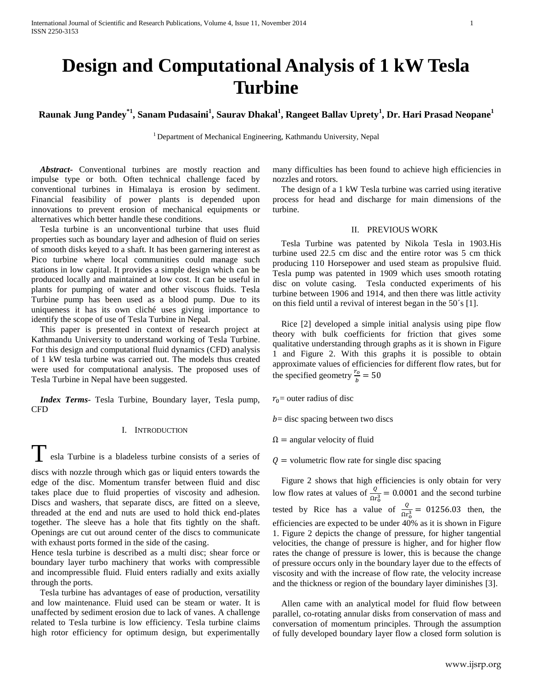# **Design and Computational Analysis of 1 kW Tesla Turbine**

**Raunak Jung Pandey\*1 , Sanam Pudasaini<sup>1</sup> , Saurav Dhakal<sup>1</sup> , Rangeet Ballav Uprety<sup>1</sup> , Dr. Hari Prasad Neopane<sup>1</sup>**

<sup>1</sup> Department of Mechanical Engineering, Kathmandu University, Nepal

 *Abstract***-** Conventional turbines are mostly reaction and impulse type or both. Often technical challenge faced by conventional turbines in Himalaya is erosion by sediment. Financial feasibility of power plants is depended upon innovations to prevent erosion of mechanical equipments or alternatives which better handle these conditions.

 Tesla turbine is an unconventional turbine that uses fluid properties such as boundary layer and adhesion of fluid on series of smooth disks keyed to a shaft*.* It has been garnering interest as Pico turbine where local communities could manage such stations in low capital. It provides a simple design which can be produced locally and maintained at low cost. It can be useful in plants for pumping of water and other viscous fluids. Tesla Turbine pump has been used as a blood pump. Due to its uniqueness it has its own cliché uses giving importance to identify the scope of use of Tesla Turbine in Nepal.

 This paper is presented in context of research project at Kathmandu University to understand working of Tesla Turbine. For this design and computational fluid dynamics (CFD) analysis of 1 kW tesla turbine was carried out. The models thus created were used for computational analysis. The proposed uses of Tesla Turbine in Nepal have been suggested.

 *Index Terms*- Tesla Turbine, Boundary layer, Tesla pump, CFD

# I. INTRODUCTION

Tesla Turbine is a bladeless turbine consists of a series of

discs with nozzle through which gas or liquid enters towards the edge of the disc. Momentum transfer between fluid and disc takes place due to fluid properties of viscosity and adhesion. Discs and washers, that separate discs, are fitted on a sleeve, threaded at the end and nuts are used to hold thick end-plates together. The sleeve has a hole that fits tightly on the shaft. Openings are cut out around center of the discs to communicate with exhaust ports formed in the side of the casing.

Hence tesla turbine is described as a multi disc; shear force or boundary layer turbo machinery that works with compressible and incompressible fluid. Fluid enters radially and exits axially through the ports.

 Tesla turbine has advantages of ease of production, versatility and low maintenance. Fluid used can be steam or water. It is unaffected by sediment erosion due to lack of vanes. A challenge related to Tesla turbine is low efficiency. Tesla turbine claims high rotor efficiency for optimum design, but experimentally

many difficulties has been found to achieve high efficiencies in nozzles and rotors.

 The design of a 1 kW Tesla turbine was carried using iterative process for head and discharge for main dimensions of the turbine.

#### II. PREVIOUS WORK

 Tesla Turbine was patented by Nikola Tesla in 1903.His turbine used 22.5 cm disc and the entire rotor was 5 cm thick producing 110 Horsepower and used steam as propulsive fluid. Tesla pump was patented in 1909 which uses smooth rotating disc on volute casing. Tesla conducted experiments of his turbine between 1906 and 1914, and then there was little activity on this field until a revival of interest began in the 50´s [1].

 Rice [2] developed a simple initial analysis using pipe flow theory with bulk coefficients for friction that gives some qualitative understanding through graphs as it is shown in Figure 1 and Figure 2. With this graphs it is possible to obtain approximate values of efficiencies for different flow rates, but for the specified geometry  $\frac{r_o}{b} = 50$ 

 $r_0$  = outer radius of disc

 $b$  = disc spacing between two discs

 $\Omega$  = angular velocity of fluid

 $Q =$  volumetric flow rate for single disc spacing

 Figure 2 shows that high efficiencies is only obtain for very low flow rates at values of  $\frac{Q}{\Omega r_0^3} = 0.0001$  and the second turbine tested by Rice has a value of  $\frac{Q}{\Omega r_0^3} = 01256.03$  then, the efficiencies are expected to be under 40% as it is shown in Figure 1. Figure 2 depicts the change of pressure, for higher tangential velocities, the change of pressure is higher, and for higher flow rates the change of pressure is lower, this is because the change of pressure occurs only in the boundary layer due to the effects of viscosity and with the increase of flow rate, the velocity increase and the thickness or region of the boundary layer diminishes [3].

 Allen came with an analytical model for fluid flow between parallel, co-rotating annular disks from conservation of mass and conversation of momentum principles. Through the assumption of fully developed boundary layer flow a closed form solution is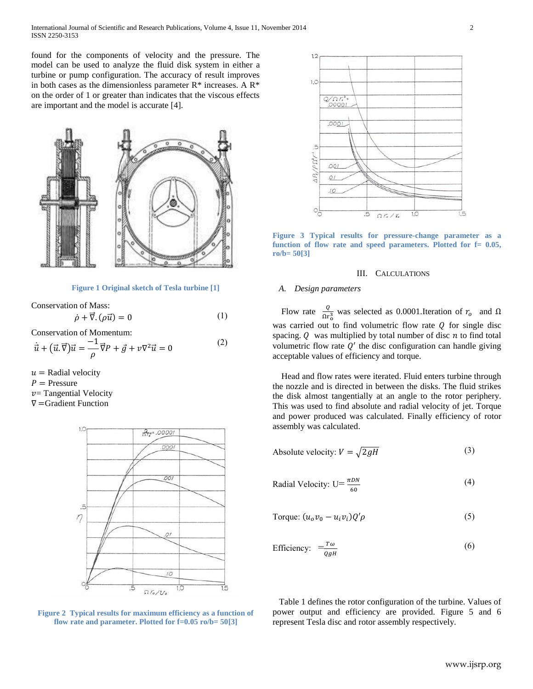found for the components of velocity and the pressure. The model can be used to analyze the fluid disk system in either a turbine or pump configuration. The accuracy of result improves in both cases as the dimensionless parameter  $R^*$  increases. A  $R^*$ on the order of 1 or greater than indicates that the viscous effects are important and the model is accurate [4].



# **Figure 1 Original sketch of Tesla turbine [1]**

Conservation of Mass:  $\dot{\rho} + \vec{\nabla} \cdot (\rho \vec{u}) = 0$  (1)

Conservation of Momentum:

$$
\dot{\vec{u}} + (\vec{u}.\vec{\nabla})\vec{u} = \frac{-1}{\rho}\vec{\nabla}P + \vec{g} + \nu\nabla^2\vec{u} = 0
$$
 (2)

 $u =$  Radial velocity  $P =$  Pressure

 $v$  = Tangential Velocity

∇=Gradient Function



**Figure 2 Typical results for maximum efficiency as a function of flow rate and parameter. Plotted for f=0.05 ro/b= 50[3]**



**Figure 3 Typical results for pressure-change parameter as a function of flow rate and speed parameters. Plotted for f= 0.05, ro/b= 50[3]**

## III. CALCULATIONS

#### *A. Design parameters*

Flow rate  $\frac{Q}{\Omega r_0^3}$  was selected as 0.0001.Iteration of  $r_0$  and Ω was carried out to find volumetric flow rate  $Q$  for single disc spacing.  $Q$  was multiplied by total number of disc  $n$  to find total volumetric flow rate  $Q'$  the disc configuration can handle giving acceptable values of efficiency and torque.

 Head and flow rates were iterated. Fluid enters turbine through the nozzle and is directed in between the disks. The fluid strikes the disk almost tangentially at an angle to the rotor periphery. This was used to find absolute and radial velocity of jet. Torque and power produced was calculated. Finally efficiency of rotor assembly was calculated.

Absolute velocity: 
$$
V = \sqrt{2gH}
$$
 (3)

Radial Velocity: 
$$
U = \frac{\pi DN}{60}
$$
\n(4)

Torque: 
$$
(u_o v_o - u_i v_i) Q' \rho
$$
 (5)

Efficiency: 
$$
\frac{-T\omega}{qgH}
$$
 (6)

 Table 1 defines the rotor configuration of the turbine. Values of power output and efficiency are provided. Figure 5 and 6 represent Tesla disc and rotor assembly respectively.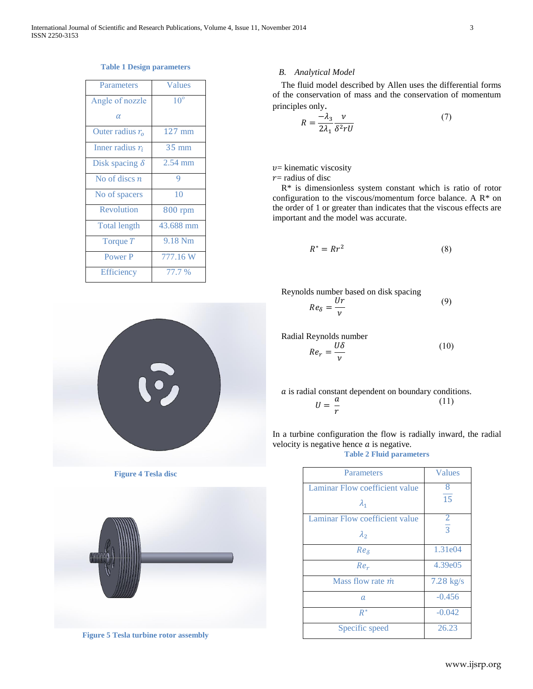| Parameters            | Values           |
|-----------------------|------------------|
| Angle of nozzle       | 10 <sup>o</sup>  |
| $\alpha$              |                  |
| Outer radius $ro$     | $127 \text{ mm}$ |
| Inner radius $r_i$    | $35 \text{ mm}$  |
| Disk spacing $\delta$ | $2.54$ mm        |
| No of discs $n$       | 9                |
| No of spacers         | 10               |
| Revolution            | <b>800 rpm</b>   |
| <b>Total length</b>   | 43.688 mm        |
| Torque T              | 9.18 Nm          |
| Power P               | 777.16 W         |

Efficiency 77.7 %

# **Table 1 Design parameters**

# D

**Figure 4 Tesla disc**



**Figure 5 Tesla turbine rotor assembly**

# *B. Analytical Model*

 The fluid model described by Allen uses the differential forms of the conservation of mass and the conservation of momentum principles only.

$$
R = \frac{-\lambda_3}{2\lambda_1} \frac{\nu}{\delta^2 r U} \tag{7}
$$

 $v$ = kinematic viscosity

 $r$  = radius of disc

 R\* is dimensionless system constant which is ratio of rotor configuration to the viscous/momentum force balance. A R\* on the order of 1 or greater than indicates that the viscous effects are important and the model was accurate.

$$
R^* = Rr^2 \tag{8}
$$

Reynolds number based on disk spacing

$$
Re_{\delta} = \frac{Ur}{\nu} \tag{9}
$$

Radial Reynolds number

$$
Re_r = \frac{U\delta}{\nu} \tag{10}
$$

*a* is radial constant dependent on boundary conditions.  

$$
U = \frac{a}{r}
$$
 (11)

In a turbine configuration the flow is radially inward, the radial velocity is negative hence  $a$  is negative.

**Table 2 Fluid parameters**

| Parameters                     | Values         |
|--------------------------------|----------------|
| Laminar Flow coefficient value | 8              |
| $\lambda_1$                    | 15             |
| Laminar Flow coefficient value | $\overline{2}$ |
| $\lambda_{2}$                  | $\overline{3}$ |
| $Re_{\delta}$                  | 1.31e04        |
| $Re_r$                         | 4.39e05        |
| Mass flow rate <i>m</i>        | $7.28$ kg/s    |
| $\alpha$                       | $-0.456$       |
| $R^*$                          | $-0.042$       |
| Specific speed                 | 26.23          |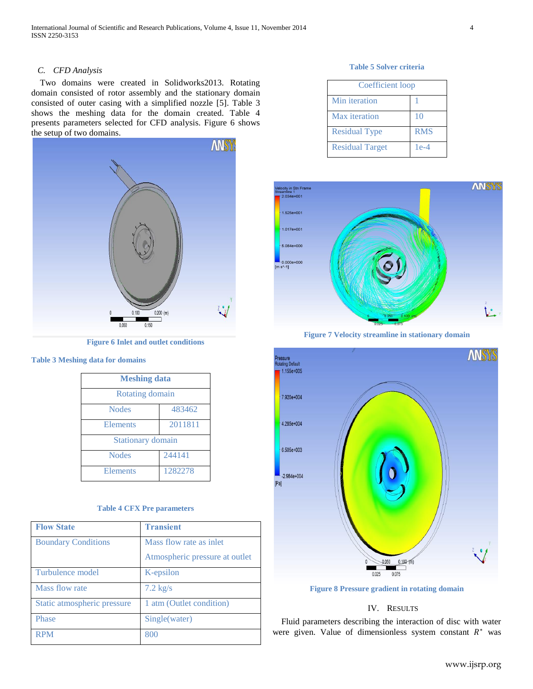## *C. CFD Analysis*

 Two domains were created in Solidworks2013. Rotating domain consisted of rotor assembly and the stationary domain consisted of outer casing with a simplified nozzle [5]. Table 3 shows the meshing data for the domain created. Table 4 presents parameters selected for CFD analysis. Figure 6 shows the setup of two domains.



**Figure 6 Inlet and outlet conditions**

#### **Table 3 Meshing data for domains**

| <b>Meshing data</b>      |         |  |
|--------------------------|---------|--|
| Rotating domain          |         |  |
| <b>Nodes</b>             | 483462  |  |
| Elements                 | 2011811 |  |
| <b>Stationary domain</b> |         |  |
| <b>Nodes</b>             | 244141  |  |
| Elements                 | 1282278 |  |

#### **Table 4 CFX Pre parameters**

| <b>Flow State</b>           | <b>Transient</b>               |
|-----------------------------|--------------------------------|
| <b>Boundary Conditions</b>  | Mass flow rate as inlet        |
|                             | Atmospheric pressure at outlet |
| Turbulence model            | K-epsilon                      |
| Mass flow rate              | $7.2 \text{ kg/s}$             |
| Static atmospheric pressure | 1 atm (Outlet condition)       |
| Phase                       | Single(water)                  |
| <b>RPM</b>                  | 800                            |

#### **Table 5 Solver criteria**

| <b>Coefficient</b> loop |            |
|-------------------------|------------|
| Min iteration           |            |
| Max iteration           | 10         |
| <b>Residual Type</b>    | <b>RMS</b> |
| <b>Residual Target</b>  | $1e-4$     |



**Figure 7 Velocity streamline in stationary domain**



**Figure 8 Pressure gradient in rotating domain**

# IV. RESULTS

 Fluid parameters describing the interaction of disc with water were given. Value of dimensionless system constant  $R^*$  was